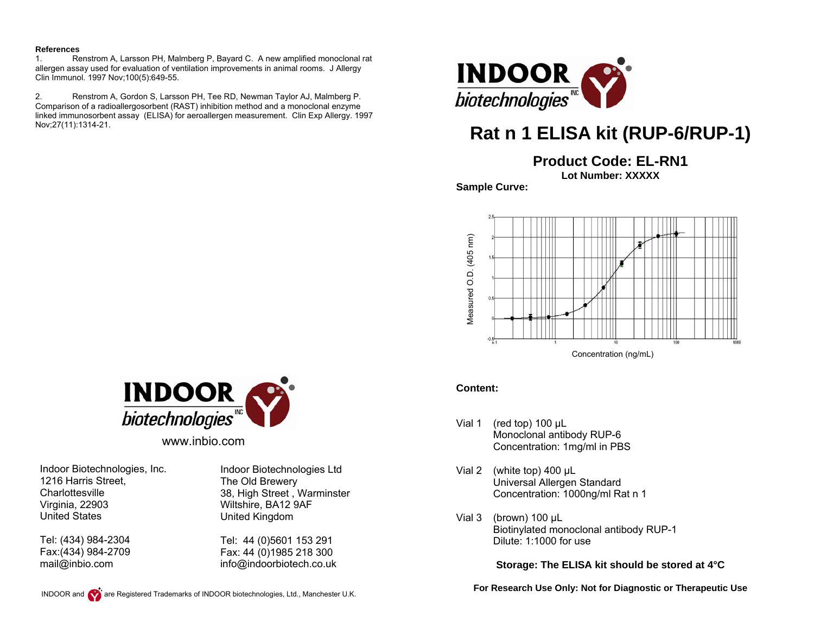#### **References**

1. Renstrom A, Larsson PH, Malmberg P, Bayard C. A new amplified monoclonal rat allergen assay used for evaluation of ventilation improvements in animal rooms. J Allergy Clin Immunol. 1997 Nov;100(5):649-55.

2. Renstrom A, Gordon S, Larsson PH, Tee RD, Newman Taylor AJ, Malmberg P. Comparison of a radioallergosorbent (RAST) inhibition method and a monoclonal enzyme linked immunosorbent assay (ELISA) for aeroallergen measurement. Clin Exp Allergy. 1997 Nov;27(11):1314-21.



# **Rat n 1 ELISA kit (RUP-6/RUP-1)**

**Product Code: EL-RN1**

**Lot Number: XXXXX** 

**Sample Curve:** 



### **Content:**

- Vial 1 (red top) 100 μL Monoclonal antibody RUP-6 Concentration: 1mg/ml in PBS
- Vial 2 (white top) 400 μL Universal Allergen Standard Concentration: 1000ng/ml Rat n 1
- Vial 3 (brown) 100 µL Biotinylated monoclonal antibody RUP-1 Dilute: 1:1000 for use

**Storage: The ELISA kit should be stored at 4°C** 

**For Research Use Only: Not for Diagnostic or Therapeutic Use** 



www.inbio.com

Indoor Biotechnologies, Inc. 1216 Harris Street, **Charlottesville** Virginia, 22903 United States

Tel: (434) 984-2304 Fax:(434) 984-2709 mail@inbio.com

Indoor Biotechnologies Ltd The Old Brewery 38, High Street , Warminster Wiltshire, BA12 9AF United Kingdom

Tel: 44 (0)5601 153 291 Fax: 44 (0)1985 218 300 info@indoorbiotech.co.uk